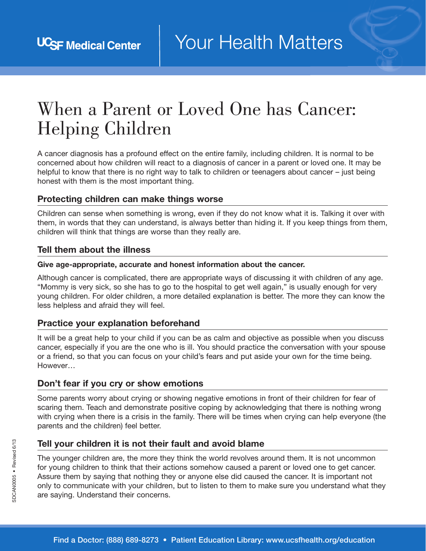# When a Parent or Loved One has Cancer: Helping Children

A cancer diagnosis has a profound effect on the entire family, including children. It is normal to be concerned about how children will react to a diagnosis of cancer in a parent or loved one. It may be helpful to know that there is no right way to talk to children or teenagers about cancer – just being honest with them is the most important thing.

#### Protecting children can make things worse

Children can sense when something is wrong, even if they do not know what it is. Talking it over with them, in words that they can understand, is always better than hiding it. If you keep things from them, children will think that things are worse than they really are.

#### Tell them about the illness

#### Give age-appropriate, accurate and honest information about the cancer.

Although cancer is complicated, there are appropriate ways of discussing it with children of any age. "Mommy is very sick, so she has to go to the hospital to get well again," is usually enough for very young children. For older children, a more detailed explanation is better. The more they can know the less helpless and afraid they will feel.

#### Practice your explanation beforehand

It will be a great help to your child if you can be as calm and objective as possible when you discuss cancer, especially if you are the one who is ill. You should practice the conversation with your spouse or a friend, so that you can focus on your child's fears and put aside your own for the time being. However…

#### Don't fear if you cry or show emotions

Some parents worry about crying or showing negative emotions in front of their children for fear of scaring them. Teach and demonstrate positive coping by acknowledging that there is nothing wrong with crying when there is a crisis in the family. There will be times when crying can help everyone (the parents and the children) feel better.

## Tell your children it is not their fault and avoid blame

The younger children are, the more they think the world revolves around them. It is not uncommon for young children to think that their actions somehow caused a parent or loved one to get cancer. Assure them by saying that nothing they or anyone else did caused the cancer. It is important not only to communicate with your children, but to listen to them to make sure you understand what they are saying. Understand their concerns.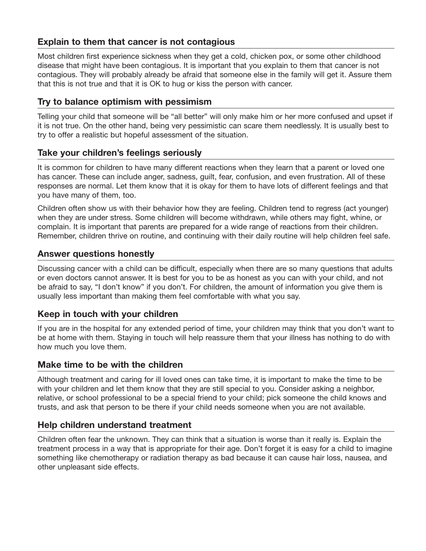# Explain to them that cancer is not contagious

Most children first experience sickness when they get a cold, chicken pox, or some other childhood disease that might have been contagious. It is important that you explain to them that cancer is not contagious. They will probably already be afraid that someone else in the family will get it. Assure them that this is not true and that it is OK to hug or kiss the person with cancer.

#### Try to balance optimism with pessimism

Telling your child that someone will be "all better" will only make him or her more confused and upset if it is not true. On the other hand, being very pessimistic can scare them needlessly. It is usually best to try to offer a realistic but hopeful assessment of the situation.

#### Take your children's feelings seriously

It is common for children to have many different reactions when they learn that a parent or loved one has cancer. These can include anger, sadness, guilt, fear, confusion, and even frustration. All of these responses are normal. Let them know that it is okay for them to have lots of different feelings and that you have many of them, too.

Children often show us with their behavior how they are feeling. Children tend to regress (act younger) when they are under stress. Some children will become withdrawn, while others may fight, whine, or complain. It is important that parents are prepared for a wide range of reactions from their children. Remember, children thrive on routine, and continuing with their daily routine will help children feel safe.

## Answer questions honestly

Discussing cancer with a child can be difficult, especially when there are so many questions that adults or even doctors cannot answer. It is best for you to be as honest as you can with your child, and not be afraid to say, "I don't know" if you don't. For children, the amount of information you give them is usually less important than making them feel comfortable with what you say.

#### Keep in touch with your children

If you are in the hospital for any extended period of time, your children may think that you don't want to be at home with them. Staying in touch will help reassure them that your illness has nothing to do with how much you love them.

## Make time to be with the children

Although treatment and caring for ill loved ones can take time, it is important to make the time to be with your children and let them know that they are still special to you. Consider asking a neighbor, relative, or school professional to be a special friend to your child; pick someone the child knows and trusts, and ask that person to be there if your child needs someone when you are not available.

## Help children understand treatment

Children often fear the unknown. They can think that a situation is worse than it really is. Explain the treatment process in a way that is appropriate for their age. Don't forget it is easy for a child to imagine something like chemotherapy or radiation therapy as bad because it can cause hair loss, nausea, and other unpleasant side effects.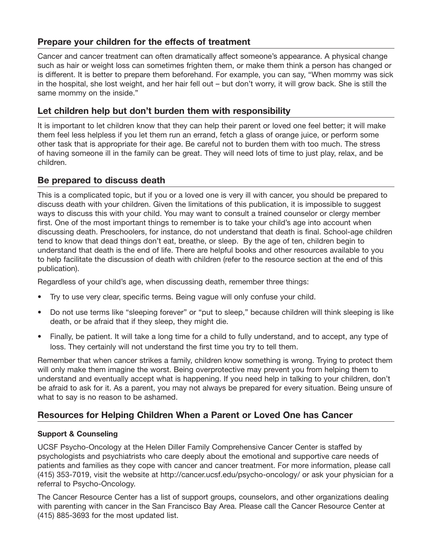# Prepare your children for the effects of treatment

Cancer and cancer treatment can often dramatically affect someone's appearance. A physical change such as hair or weight loss can sometimes frighten them, or make them think a person has changed or is different. It is better to prepare them beforehand. For example, you can say, "When mommy was sick in the hospital, she lost weight, and her hair fell out – but don't worry, it will grow back. She is still the same mommy on the inside."

# Let children help but don't burden them with responsibility

It is important to let children know that they can help their parent or loved one feel better; it will make them feel less helpless if you let them run an errand, fetch a glass of orange juice, or perform some other task that is appropriate for their age. Be careful not to burden them with too much. The stress of having someone ill in the family can be great. They will need lots of time to just play, relax, and be children.

# Be prepared to discuss death

This is a complicated topic, but if you or a loved one is very ill with cancer, you should be prepared to discuss death with your children. Given the limitations of this publication, it is impossible to suggest ways to discuss this with your child. You may want to consult a trained counselor or clergy member first. One of the most important things to remember is to take your child's age into account when discussing death. Preschoolers, for instance, do not understand that death is final. School-age children tend to know that dead things don't eat, breathe, or sleep. By the age of ten, children begin to understand that death is the end of life. There are helpful books and other resources available to you to help facilitate the discussion of death with children (refer to the resource section at the end of this publication).

Regardless of your child's age, when discussing death, remember three things:

- Try to use very clear, specific terms. Being vague will only confuse your child.
- Do not use terms like "sleeping forever" or "put to sleep," because children will think sleeping is like death, or be afraid that if they sleep, they might die.
- Finally, be patient. It will take a long time for a child to fully understand, and to accept, any type of loss. They certainly will not understand the first time you try to tell them.

Remember that when cancer strikes a family, children know something is wrong. Trying to protect them will only make them imagine the worst. Being overprotective may prevent you from helping them to understand and eventually accept what is happening. If you need help in talking to your children, don't be afraid to ask for it. As a parent, you may not always be prepared for every situation. Being unsure of what to say is no reason to be ashamed.

# Resources for Helping Children When a Parent or Loved One has Cancer

#### Support & Counseling

UCSF Psycho-Oncology at the Helen Diller Family Comprehensive Cancer Center is staffed by psychologists and psychiatrists who care deeply about the emotional and supportive care needs of patients and families as they cope with cancer and cancer treatment. For more information, please call (415) 353-7019, visit the website at http://cancer.ucsf.edu/psycho-oncology/ or ask your physician for a referral to Psycho-Oncology.

The Cancer Resource Center has a list of support groups, counselors, and other organizations dealing with parenting with cancer in the San Francisco Bay Area. Please call the Cancer Resource Center at (415) 885-3693 for the most updated list.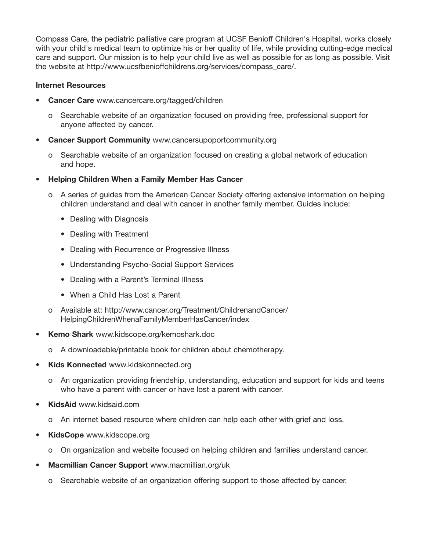Compass Care, the pediatric palliative care program at UCSF Benioff Children's Hospital, works closely with your child's medical team to optimize his or her quality of life, while providing cutting-edge medical care and support. Our mission is to help your child live as well as possible for as long as possible. Visit the website at http://www.ucsfbenioffchildrens.org/services/compass\_care/.

#### Internet Resources

- Cancer Care www.cancercare.org/tagged/children
	- o Searchable website of an organization focused on providing free, professional support for anyone affected by cancer.
- **Cancer Support Community www.cancersupoportcommunity.org** 
	- o Searchable website of an organization focused on creating a global network of education and hope.
- Helping Children When a Family Member Has Cancer
	- o A series of guides from the American Cancer Society offering extensive information on helping children understand and deal with cancer in another family member. Guides include:
		- Dealing with Diagnosis
		- Dealing with Treatment
		- Dealing with Recurrence or Progressive Illness
		- Understanding Psycho-Social Support Services
		- Dealing with a Parent's Terminal Illness
		- When a Child Has Lost a Parent
	- o Available at: http://www.cancer.org/Treatment/ChildrenandCancer/ HelpingChildrenWhenaFamilyMemberHasCancer/index
- Kemo Shark www.kidscope.org/kemoshark.doc
	- o A downloadable/printable book for children about chemotherapy.
- Kids Konnected www.kidskonnected.org
	- o An organization providing friendship, understanding, education and support for kids and teens who have a parent with cancer or have lost a parent with cancer.
- **KidsAid www.kidsaid.com** 
	- o An internet based resource where children can help each other with grief and loss.
- KidsCope www.kidscope.org
	- o On organization and website focused on helping children and families understand cancer.
- Macmillian Cancer Support www.macmillian.org/uk
	- o Searchable website of an organization offering support to those affected by cancer.